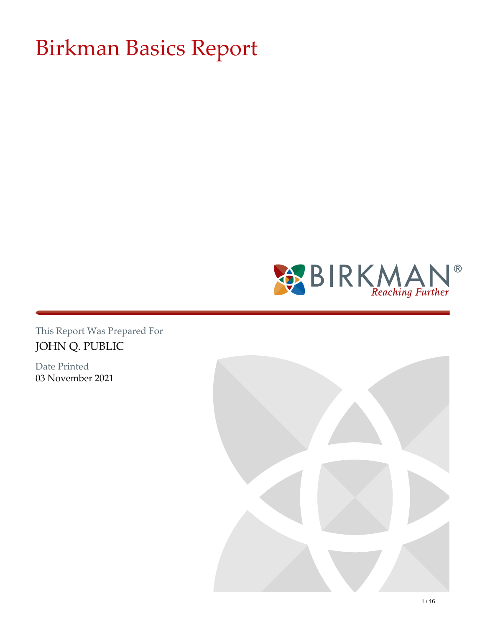# Birkman Basics Report



This Report Was Prepared For JOHN Q. PUBLIC

Date Printed 03 November 2021

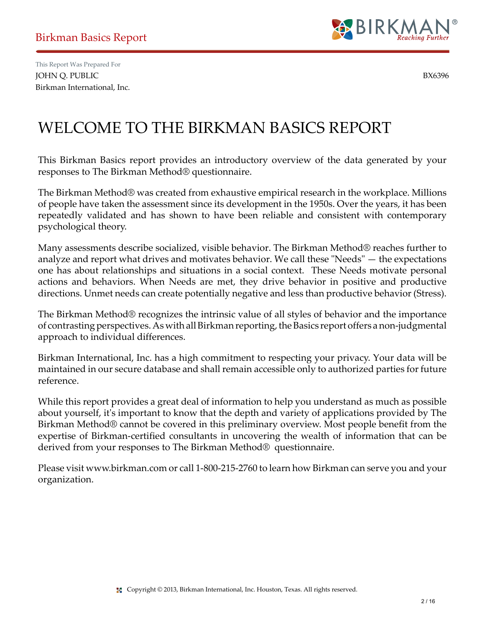

## WELCOME TO THE BIRKMAN BASICS REPORT

This Birkman Basics report provides an introductory overview of the data generated by your responses to The Birkman Method® questionnaire.

The Birkman Method® was created from exhaustive empirical research in the workplace. Millions of people have taken the assessment since its development in the 1950s. Over the years, it has been repeatedly validated and has shown to have been reliable and consistent with contemporary psychological theory.

Many assessments describe socialized, visible behavior. The Birkman Method® reaches further to analyze and report what drives and motivates behavior. We call these "Needs" — the expectations one has about relationships and situations in a social context. These Needs motivate personal actions and behaviors. When Needs are met, they drive behavior in positive and productive directions. Unmet needs can create potentially negative and less than productive behavior (Stress).

The Birkman Method® recognizes the intrinsic value of all styles of behavior and the importance of contrasting perspectives. As with all Birkman reporting, the Basics report offers a non-judgmental approach to individual differences.

Birkman International, Inc. has a high commitment to respecting your privacy. Your data will be maintained in our secure database and shall remain accessible only to authorized parties for future reference.

While this report provides a great deal of information to help you understand as much as possible about yourself, it's important to know that the depth and variety of applications provided by The Birkman Method® cannot be covered in this preliminary overview. Most people benefit from the expertise of Birkman-certified consultants in uncovering the wealth of information that can be derived from your responses to The Birkman Method® questionnaire.

Please visit www.birkman.com or call 1-800-215-2760 to learn how Birkman can serve you and your organization.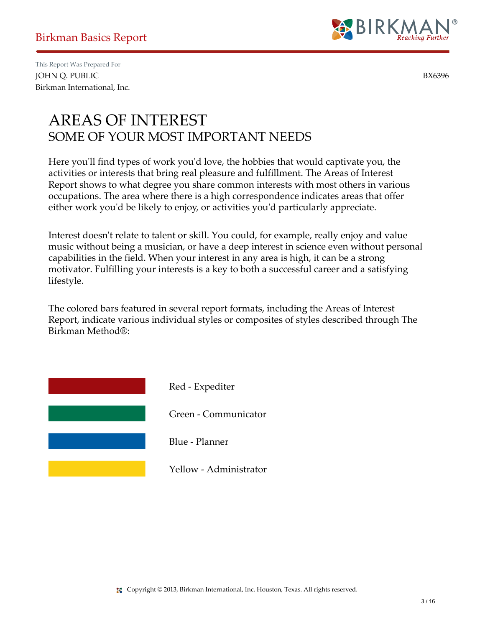

#### AREAS OF INTEREST SOME OF YOUR MOST IMPORTANT NEEDS

Here you'll find types of work you'd love, the hobbies that would captivate you, the activities or interests that bring real pleasure and fulfillment. The Areas of Interest Report shows to what degree you share common interests with most others in various occupations. The area where there is a high correspondence indicates areas that offer either work you'd be likely to enjoy, or activities you'd particularly appreciate.

Interest doesn't relate to talent or skill. You could, for example, really enjoy and value music without being a musician, or have a deep interest in science even without personal capabilities in the field. When your interest in any area is high, it can be a strong motivator. Fulfilling your interests is a key to both a successful career and a satisfying lifestyle.

The colored bars featured in several report formats, including the Areas of Interest Report, indicate various individual styles or composites of styles described through The Birkman Method®:

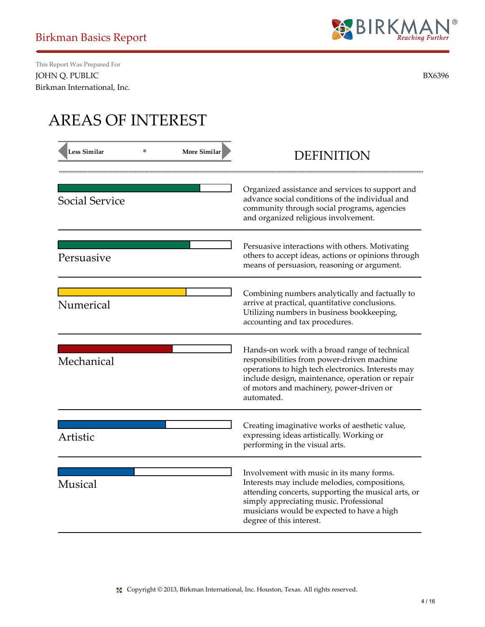

# AREAS OF INTEREST

| <b>Less Similar</b>   | <b>More Similar</b> | <b>DEFINITION</b>                                                                                                                                                                                                                                                      |
|-----------------------|---------------------|------------------------------------------------------------------------------------------------------------------------------------------------------------------------------------------------------------------------------------------------------------------------|
| <b>Social Service</b> |                     | Organized assistance and services to support and<br>advance social conditions of the individual and<br>community through social programs, agencies<br>and organized religious involvement.                                                                             |
| Persuasive            |                     | Persuasive interactions with others. Motivating<br>others to accept ideas, actions or opinions through<br>means of persuasion, reasoning or argument.                                                                                                                  |
| Numerical             |                     | Combining numbers analytically and factually to<br>arrive at practical, quantitative conclusions.<br>Utilizing numbers in business bookkeeping,<br>accounting and tax procedures.                                                                                      |
| Mechanical            |                     | Hands-on work with a broad range of technical<br>responsibilities from power-driven machine<br>operations to high tech electronics. Interests may<br>include design, maintenance, operation or repair<br>of motors and machinery, power-driven or<br>automated.        |
| Artistic              |                     | Creating imaginative works of aesthetic value,<br>expressing ideas artistically. Working or<br>performing in the visual arts.                                                                                                                                          |
| <b>Musical</b>        |                     | Involvement with music in its many forms.<br>Interests may include melodies, compositions,<br>attending concerts, supporting the musical arts, or<br>simply appreciating music. Professional<br>musicians would be expected to have a high<br>degree of this interest. |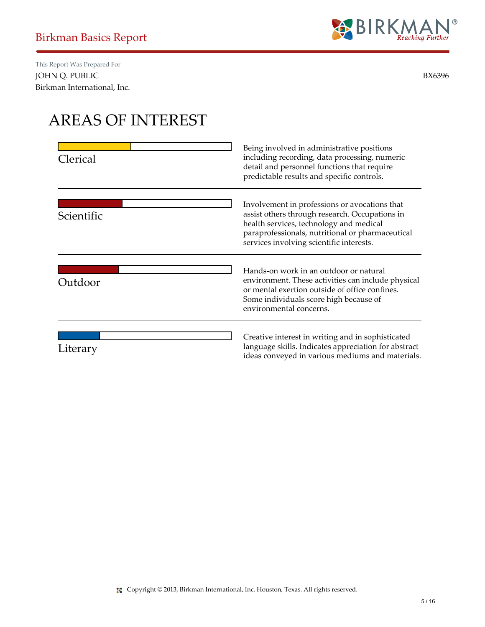

## AREAS OF INTEREST

| Clerical   | Being involved in administrative positions<br>including recording, data processing, numeric<br>detail and personnel functions that require<br>predictable results and specific controls.                                                   |
|------------|--------------------------------------------------------------------------------------------------------------------------------------------------------------------------------------------------------------------------------------------|
| Scientific | Involvement in professions or avocations that<br>assist others through research. Occupations in<br>health services, technology and medical<br>paraprofessionals, nutritional or pharmaceutical<br>services involving scientific interests. |
| Outdoor    | Hands-on work in an outdoor or natural<br>environment. These activities can include physical<br>or mental exertion outside of office confines.<br>Some individuals score high because of<br>environmental concerns.                        |
| Literary   | Creative interest in writing and in sophisticated<br>language skills. Indicates appreciation for abstract<br>ideas conveyed in various mediums and materials.                                                                              |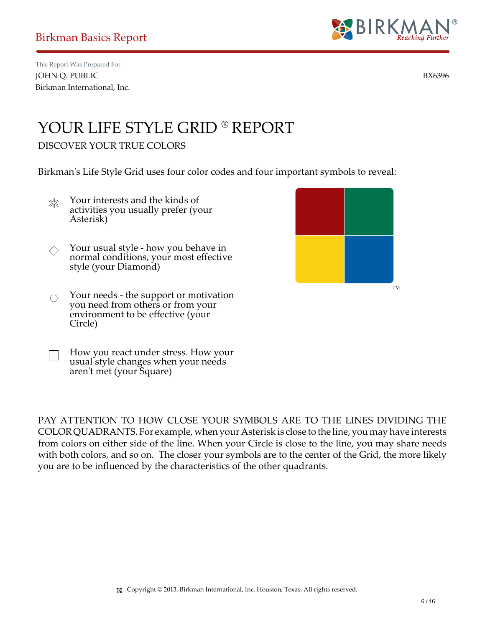

### YOUR LIFE STYLE GRID ® REPORT

#### DISCOVER YOUR TRUE COLORS

Birkman's Life Style Grid uses four color codes and four important symbols to reveal:

- Your interests and the kinds of ≵≲ activities you usually prefer (your Asterisk)
- Your usual style how you behave in  $\Diamond$ normal conditions, your most effective style (your Diamond)
- Your needs the support or motivation  $\bigcirc$ you need from others or from your environment to be effective (your Circle)

aren't met (your Square)

How you react under stress. How your usual style changes when your needs

PAY ATTENTION TO HOW CLOSE YOUR SYMBOLS ARE TO THE LINES DIVIDING THE COLOR QUADRANTS. For example, when your Asterisk is close to the line, you may have interests from colors on either side of the line. When your Circle is close to the line, you may share needs with both colors, and so on. The closer your symbols are to the center of the Grid, the more likely you are to be influenced by the characteristics of the other quadrants.

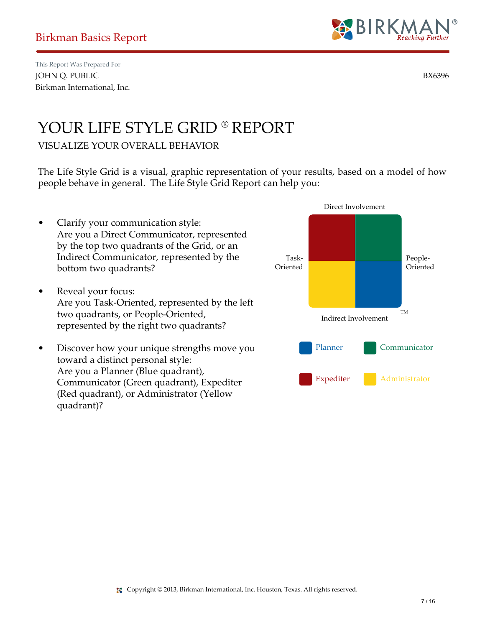quadrant)?



Direct Involvement

### YOUR LIFE STYLE GRID ® REPORT

#### VISUALIZE YOUR OVERALL BEHAVIOR

The Life Style Grid is a visual, graphic representation of your results, based on a model of how people behave in general. The Life Style Grid Report can help you:

• Clarify your communication style: Are you a Direct Communicator, represented by the top two quadrants of the Grid, or an Indirect Communicator, represented by the bottom two quadrants? • Reveal your focus: Are you Task-Oriented, represented by the left two quadrants, or People-Oriented, represented by the right two quadrants? • Discover how your unique strengths move you toward a distinct personal style: Are you a Planner (Blue quadrant), Communicator (Green quadrant), Expediter (Red quadrant), or Administrator (Yellow TM Indirect Involvement Task-Oriented People-Oriented Planner Communicator Expediter **Administrator**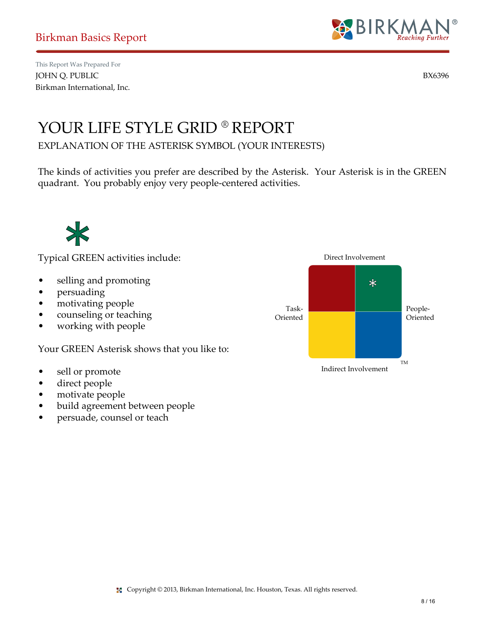

### YOUR LIFE STYLE GRID ® REPORT

EXPLANATION OF THE ASTERISK SYMBOL (YOUR INTERESTS)

The kinds of activities you prefer are described by the Asterisk. Your Asterisk is in the GREEN quadrant. You probably enjoy very people-centered activities.



Typical GREEN activities include:

- selling and promoting
- persuading
- motivating people
- counseling or teaching
- working with people

Your GREEN Asterisk shows that you like to:

- sell or promote
- direct people
- motivate people
- build agreement between people
- persuade, counsel or teach

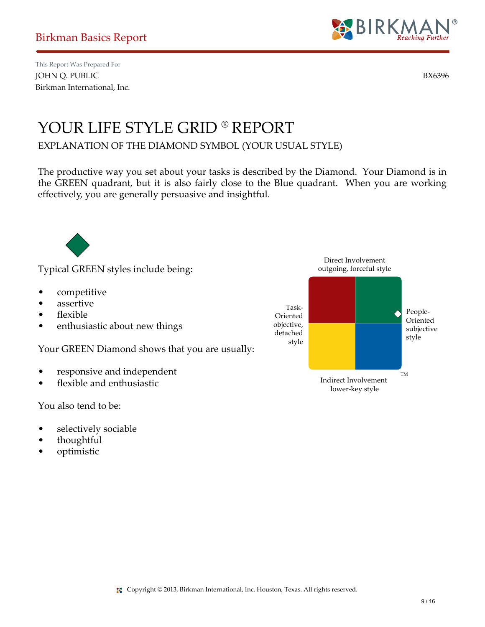

### YOUR LIFE STYLE GRID ® REPORT

EXPLANATION OF THE DIAMOND SYMBOL (YOUR USUAL STYLE)

The productive way you set about your tasks is described by the Diamond. Your Diamond is in the GREEN quadrant, but it is also fairly close to the Blue quadrant. When you are working effectively, you are generally persuasive and insightful.



Typical GREEN styles include being:

- competitive
- assertive
- flexible
- enthusiastic about new things

Your GREEN Diamond shows that you are usually:

- responsive and independent
- flexible and enthusiastic

You also tend to be:

- selectively sociable
- thoughtful
- optimistic

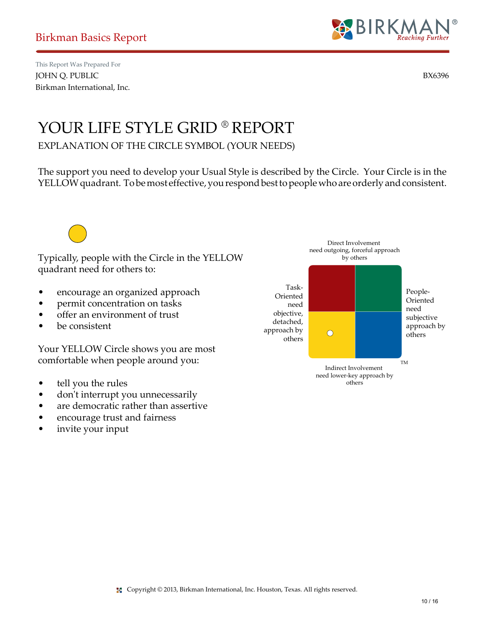

### YOUR LIFE STYLE GRID ® REPORT

EXPLANATION OF THE CIRCLE SYMBOL (YOUR NEEDS)

The support you need to develop your Usual Style is described by the Circle. Your Circle is in the YELLOW quadrant. To be most effective, you respond best to people who are orderly and consistent.

Typically, people with the Circle in the YELLOW quadrant need for others to:

- encourage an organized approach
- permit concentration on tasks
- offer an environment of trust
- be consistent

Your YELLOW Circle shows you are most comfortable when people around you:

- tell you the rules
- don't interrupt you unnecessarily
- are democratic rather than assertive
- encourage trust and fairness
- invite your input

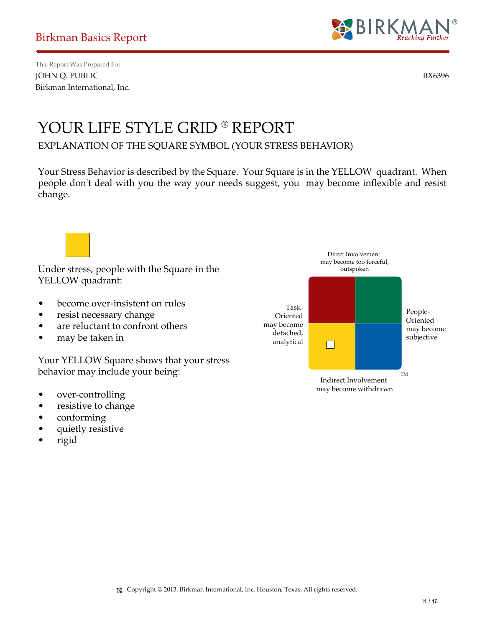

### YOUR LIFE STYLE GRID ® REPORT

EXPLANATION OF THE SQUARE SYMBOL (YOUR STRESS BEHAVIOR)

Your Stress Behavior is described by the Square. Your Square is in the YELLOW quadrant. When people don't deal with you the way your needs suggest, you may become inflexible and resist change.

Under stress, people with the Square in the YELLOW quadrant:

- become over-insistent on rules
- resist necessary change
- are reluctant to confront others
- may be taken in

Your YELLOW Square shows that your stress behavior may include your being:

- over-controlling
- resistive to change
- conforming
- quietly resistive
- rigid

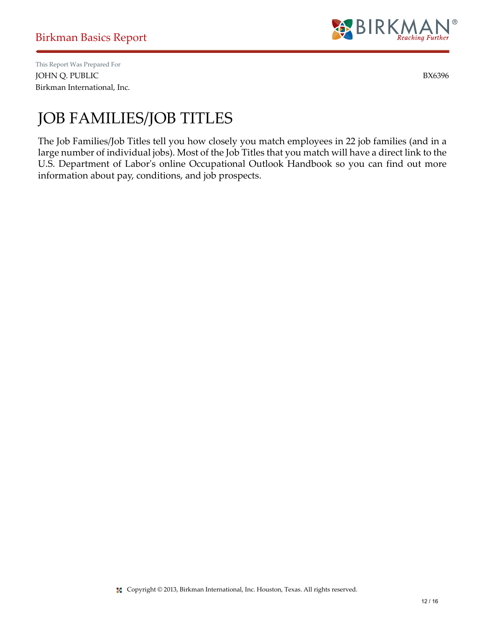

# JOB FAMILIES/JOB TITLES

The Job Families/Job Titles tell you how closely you match employees in 22 job families (and in a large number of individual jobs). Most of the Job Titles that you match will have a direct link to the U.S. Department of Labor's online Occupational Outlook Handbook so you can find out more information about pay, conditions, and job prospects.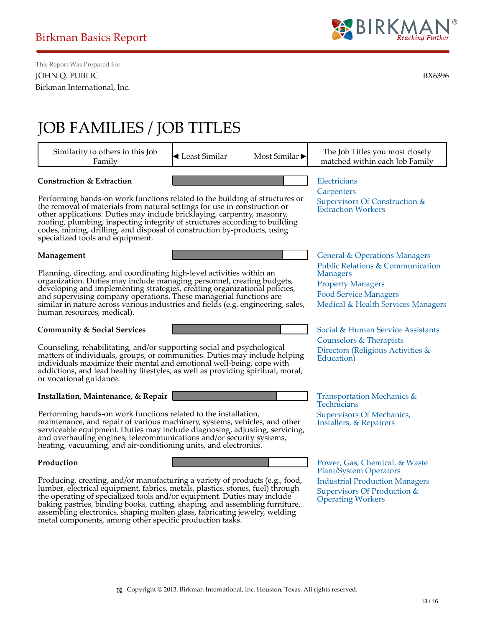

# JOB FAMILIES / JOB TITLES

| Similarity to others in this Job<br>Family                                                                                                                                                                                                                                                                                                                                                                                                                                       | └ Least Similar | Most Similar | The Job Titles you most closely<br>matched within each Job Family                                                                                                                                 |
|----------------------------------------------------------------------------------------------------------------------------------------------------------------------------------------------------------------------------------------------------------------------------------------------------------------------------------------------------------------------------------------------------------------------------------------------------------------------------------|-----------------|--------------|---------------------------------------------------------------------------------------------------------------------------------------------------------------------------------------------------|
| <b>Construction &amp; Extraction</b><br>Performing hands-on work functions related to the building of structures or<br>the removal of materials from natural settings for use in construction or<br>other applications. Duties may include bricklaying, carpentry, masonry,<br>roofing, plumbing, inspecting integrity of structures according to building<br>codes, mining, drilling, and disposal of construction by-products, using<br>specialized tools and equipment.       |                 |              | Electricians<br>Carpenters<br>Supervisors Of Construction &<br><b>Extraction Workers</b>                                                                                                          |
| Management<br>Planning, directing, and coordinating high-level activities within an<br>organization. Duties may include managing personnel, creating budgets,<br>developing and implementing strategies, creating organizational policies,<br>and supervising company operations. These managerial functions are<br>similar in nature across various industries and fields (e.g. engineering, sales,<br>human resources, medical).                                               |                 |              | <b>General &amp; Operations Managers</b><br>Public Relations & Communication<br><b>Managers</b><br><b>Property Managers</b><br><b>Food Service Managers</b><br>Medical & Health Services Managers |
| <b>Community &amp; Social Services</b><br>Counseling, rehabilitating, and/or supporting social and psychological<br>matters of individuals, groups, or communities. Duties may include helping<br>individuals maximize their mental and emotional well-being, cope with<br>addictions, and lead healthy lifestyles, as well as providing spiritual, moral,<br>or vocational guidance.                                                                                            |                 |              | Social & Human Service Assistants<br>Counselors & Therapists<br>Directors (Religious Activities &<br>Education)                                                                                   |
| Installation, Maintenance, & Repair<br>Performing hands-on work functions related to the installation,<br>maintenance, and repair of various machinery, systems, vehicles, and other<br>serviceable equipment. Duties may include diagnosing, adjusting, servicing,<br>and overhauling engines, telecommunications and/or security systems,<br>heating, vacuuming, and air-conditioning units, and electronics.                                                                  |                 |              | <b>Transportation Mechanics &amp;</b><br>Technicians<br>Supervisors Of Mechanics,<br>Installers, & Repairers                                                                                      |
| Production<br>Producing, creating, and/or manufacturing a variety of products (e.g., food,<br>lumber, electrical equipment, fabrics, metals, plastics, stones, fuel) through<br>the operating of specialized tools and/or equipment. Duties may include<br>baking pastries, binding books, cutting, shaping, and assembling furniture,<br>assembling electronics, shaping molten glass, fabricating jewelry, welding<br>metal components, among other specific production tasks. |                 |              | Power, Gas, Chemical, & Waste<br><b>Plant/System Operators</b><br><b>Industrial Production Managers</b><br>Supervisors Of Production &<br><b>Operating Workers</b>                                |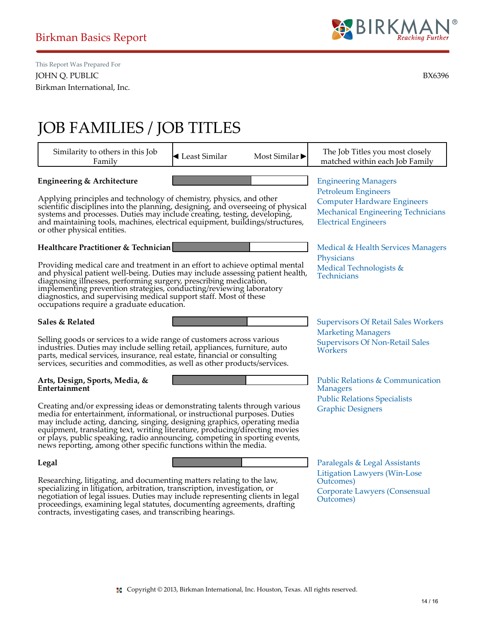

# JOB FAMILIES / JOB TITLES

| Similarity to others in this Job<br>Family                                                                                                                                                                                                                                                                                                                                                                                                                           | └ Least Similar | Most Similar | The Job Titles you most closely<br>matched within each Job Family                                                                                                           |
|----------------------------------------------------------------------------------------------------------------------------------------------------------------------------------------------------------------------------------------------------------------------------------------------------------------------------------------------------------------------------------------------------------------------------------------------------------------------|-----------------|--------------|-----------------------------------------------------------------------------------------------------------------------------------------------------------------------------|
| Engineering & Architecture<br>Applying principles and technology of chemistry, physics, and other<br>scientific disciplines into the planning, designing, and overseeing of physical<br>systems and processes. Duties may include creating, testing, developing,<br>and maintaining tools, machines, electrical equipment, buildings/structures,<br>or other physical entities.                                                                                      |                 |              | <b>Engineering Managers</b><br><b>Petroleum Engineers</b><br><b>Computer Hardware Engineers</b><br><b>Mechanical Engineering Technicians</b><br><b>Electrical Engineers</b> |
| <b>Healthcare Practitioner &amp; Technician</b>                                                                                                                                                                                                                                                                                                                                                                                                                      |                 |              | Medical & Health Services Managers                                                                                                                                          |
|                                                                                                                                                                                                                                                                                                                                                                                                                                                                      |                 |              | Physicians                                                                                                                                                                  |
| Providing medical care and treatment in an effort to achieve optimal mental<br>and physical patient well-being. Duties may include assessing patient health,<br>diagnosing illnesses, performing surgery, prescribing medication,<br>implementing prevention strategies, conducting/reviewing laboratory<br>diagnostics, and supervising medical support staff. Most of these<br>occupations require a graduate education.                                           |                 |              | Medical Technologists &<br>Technicians                                                                                                                                      |
| Sales & Related                                                                                                                                                                                                                                                                                                                                                                                                                                                      |                 |              | <b>Supervisors Of Retail Sales Workers</b>                                                                                                                                  |
| Selling goods or services to a wide range of customers across various<br>industries. Duties may include selling retail, appliances, furniture, auto<br>parts, medical services, insurance, real estate, financial or consulting<br>services, securities and commodities, as well as other products/services.                                                                                                                                                         |                 |              | <b>Marketing Managers</b><br><b>Supervisors Of Non-Retail Sales</b><br>Workers                                                                                              |
| Arts, Design, Sports, Media, &<br>Entertainment                                                                                                                                                                                                                                                                                                                                                                                                                      |                 |              | Public Relations & Communication<br><b>Managers</b>                                                                                                                         |
| Creating and/or expressing ideas or demonstrating talents through various<br>media for entertainment, informational, or instructional purposes. Duties<br>may include acting, dancing, singing, designing graphics, operating media<br>equipment, translating text, writing literature, producing/directing movies<br>or plays, public speaking, radio announcing, competing in sporting events,<br>news reporting, among other specific functions within the media. |                 |              | <b>Public Relations Specialists</b><br><b>Graphic Designers</b>                                                                                                             |
| Legal                                                                                                                                                                                                                                                                                                                                                                                                                                                                |                 |              | Paralegals & Legal Assistants                                                                                                                                               |
| ${\bf D}$ . In a set of the contract of the contract of the contract of the contract of the ${\bf d}$                                                                                                                                                                                                                                                                                                                                                                |                 |              | <b>Litigation Lawyers (Win-Lose</b>                                                                                                                                         |

Researching, litigating, and documenting matters relating to the law, specializing in litigation, arbitration, transcription, investigation, or negotiation of legal issues. Duties may include representing clients in legal proceedings, examining legal statutes, documenting agreements, drafting contracts, investigating cases, and transcribing hearings.

Outcomes) [Corporate Lawyers \(Consensual](http://www.mynextmove.org/profile/summary/23-1011.00) Outcomes)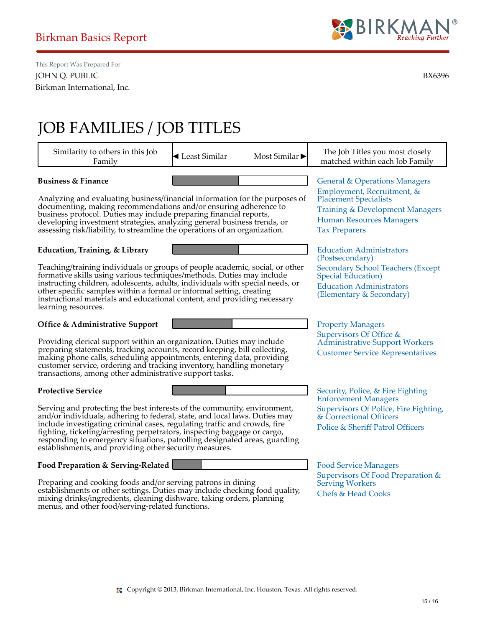

# JOB FAMILIES / JOB TITLES

menus, and other food/serving-related functions.

| Similarity to others in this Job<br>Family                                                                                                                                                                                                                                                                                                                                                                                                             | $\blacktriangleleft$ Least Similar                                                                                                                                  | Most Similar $\blacktriangleright$ | The Job Titles you most closely<br>matched within each Job Family                                                                   |
|--------------------------------------------------------------------------------------------------------------------------------------------------------------------------------------------------------------------------------------------------------------------------------------------------------------------------------------------------------------------------------------------------------------------------------------------------------|---------------------------------------------------------------------------------------------------------------------------------------------------------------------|------------------------------------|-------------------------------------------------------------------------------------------------------------------------------------|
| <b>Business &amp; Finance</b>                                                                                                                                                                                                                                                                                                                                                                                                                          |                                                                                                                                                                     |                                    | <b>General &amp; Operations Managers</b>                                                                                            |
| Analyzing and evaluating business/financial information for the purposes of<br>documenting, making recommendations and/or ensuring adherence to<br>business protocol. Duties may include preparing financial reports,<br>developing investment strategies, analyzing general business trends, or<br>assessing risk/liability, to streamline the operations of an organization.                                                                         | Employment, Recruitment, &<br><b>Placement Specialists</b><br><b>Training &amp; Development Managers</b><br><b>Human Resources Managers</b><br><b>Tax Preparers</b> |                                    |                                                                                                                                     |
| Education, Training, & Library                                                                                                                                                                                                                                                                                                                                                                                                                         |                                                                                                                                                                     |                                    | <b>Education Administrators</b><br>(Postsecondary)                                                                                  |
| Teaching/training individuals or groups of people academic, social, or other<br>formative skills using various techniques/methods. Duties may include<br>instructing children, adolescents, adults, individuals with special needs, or<br>other specific samples within a formal or informal setting, creating<br>instructional materials and educational content, and providing necessary<br>learning resources.                                      |                                                                                                                                                                     |                                    | <b>Secondary School Teachers (Except</b><br>Special Education)<br><b>Education Administrators</b><br>(Elementary & Secondary)       |
| Office & Administrative Support                                                                                                                                                                                                                                                                                                                                                                                                                        |                                                                                                                                                                     |                                    | <b>Property Managers</b>                                                                                                            |
| Providing clerical support within an organization. Duties may include<br>preparing statements, tracking accounts, record keeping, bill collecting,<br>making phone calls, scheduling appointments, entering data, providing<br>customer service, ordering and tracking inventory, handling monetary<br>transactions, among other administrative support tasks.                                                                                         | Supervisors Of Office &<br><b>Administrative Support Workers</b><br><b>Customer Service Representatives</b>                                                         |                                    |                                                                                                                                     |
| <b>Protective Service</b>                                                                                                                                                                                                                                                                                                                                                                                                                              |                                                                                                                                                                     |                                    | Security, Police, & Fire Fighting                                                                                                   |
| Serving and protecting the best interests of the community, environment,<br>and/or individuals, adhering to federal, state, and local laws. Duties may<br>include investigating criminal cases, regulating traffic and crowds, fire<br>fighting, ticketing/arresting perpetrators, inspecting baggage or cargo,<br>responding to emergency sifuations, patrolling designated areas, guarding<br>establishments, and providing other security measures. |                                                                                                                                                                     |                                    | <b>Enforcement Managers</b><br>Supervisors Of Police, Fire Fighting,<br>& Correctional Officers<br>Police & Sheriff Patrol Officers |
| Food Preparation & Serving-Related                                                                                                                                                                                                                                                                                                                                                                                                                     |                                                                                                                                                                     |                                    | <b>Food Service Managers</b>                                                                                                        |
| Preparing and cooking foods and/or serving patrons in dining<br>establishments or other settings. Duties may include checking food quality,<br>mixing drinks/ingredients, cleaning dishware, taking orders, planning                                                                                                                                                                                                                                   |                                                                                                                                                                     |                                    | Supervisors Of Food Preparation &<br><b>Serving Workers</b><br><b>Chefs &amp; Head Cooks</b>                                        |